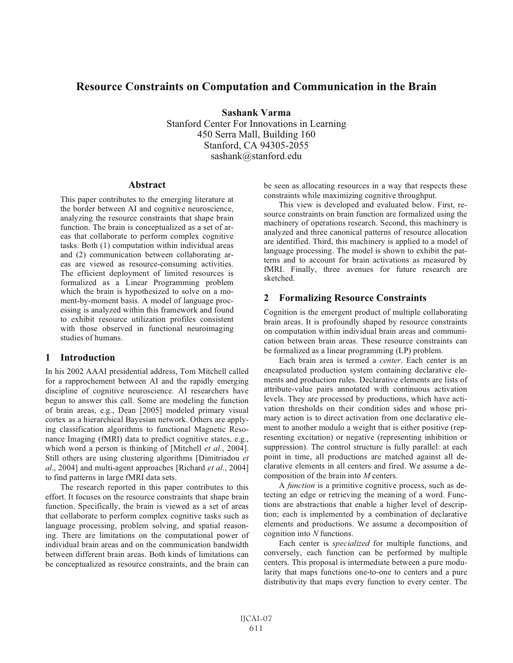# **Resource Constraints on Computation and Communication in the Brain**

**Sashank Varma** Stanford Center For Innovations in Learning 450 Serra Mall, Building 160 Stanford, CA 94305-2055 sashank@stanford.edu

## **Abstract**

This paper contributes to the emerging literature at the border between AI and cognitive neuroscience, analyzing the resource constraints that shape brain function. The brain is conceptualized as a set of areas that collaborate to perform complex cognitive tasks. Both (1) computation within individual areas and (2) communication between collaborating areas are viewed as resource-consuming activities. The efficient deployment of limited resources is formalized as a Linear Programming problem which the brain is hypothesized to solve on a moment-by-moment basis. A model of language processing is analyzed within this framework and found to exhibit resource utilization profiles consistent with those observed in functional neuroimaging studies of humans.

#### **1 Introduction**

In his 2002 AAAI presidential address, Tom Mitchell called for a rapprochement between AI and the rapidly emerging discipline of cognitive neuroscience. AI researchers have begun to answer this call. Some are modeling the function of brain areas, e.g., Dean [2005] modeled primary visual cortex as a hierarchical Bayesian network. Others are applying classification algorithms to functional Magnetic Resonance Imaging (fMRI) data to predict cognitive states, e.g., which word a person is thinking of [Mitchell *et al.*, 2004]. Still others are using clustering algorithms [Dimitriadou *et al*., 2004] and multi-agent approaches [Richard *et al*., 2004] to find patterns in large fMRI data sets.

The research reported in this paper contributes to this effort. It focuses on the resource constraints that shape brain function. Specifically, the brain is viewed as a set of areas that collaborate to perform complex cognitive tasks such as language processing, problem solving, and spatial reasoning. There are limitations on the computational power of individual brain areas and on the communication bandwidth between different brain areas. Both kinds of limitations can be conceptualized as resource constraints, and the brain can be seen as allocating resources in a way that respects these constraints while maximizing cognitive throughput.

This view is developed and evaluated below. First, resource constraints on brain function are formalized using the machinery of operations research. Second, this machinery is analyzed and three canonical patterns of resource allocation are identified. Third, this machinery is applied to a model of language processing. The model is shown to exhibit the patterns and to account for brain activations as measured by fMRI. Finally, three avenues for future research are sketched.

# **2 Formalizing Resource Constraints**

Cognition is the emergent product of multiple collaborating brain areas. It is profoundly shaped by resource constraints on computation within individual brain areas and communication between brain areas. These resource constraints can be formalized as a linear programming (LP) problem.

Each brain area is termed a *center*. Each center is an encapsulated production system containing declarative elements and production rules. Declarative elements are lists of attribute-value pairs annotated with continuous activation levels. They are processed by productions, which have activation thresholds on their condition sides and whose primary action is to direct activation from one declarative element to another modulo a weight that is either positive (representing excitation) or negative (representing inhibition or suppression). The control structure is fully parallel: at each point in time, all productions are matched against all declarative elements in all centers and fired. We assume a decomposition of the brain into *M* centers.

A *function* is a primitive cognitive process, such as detecting an edge or retrieving the meaning of a word. Functions are abstractions that enable a higher level of description; each is implemented by a combination of declarative elements and productions. We assume a decomposition of cognition into *N* functions.

Each center is *specialized* for multiple functions, and conversely, each function can be performed by multiple centers. This proposal is intermediate between a pure modularity that maps functions one-to-one to centers and a pure distributivity that maps every function to every center. The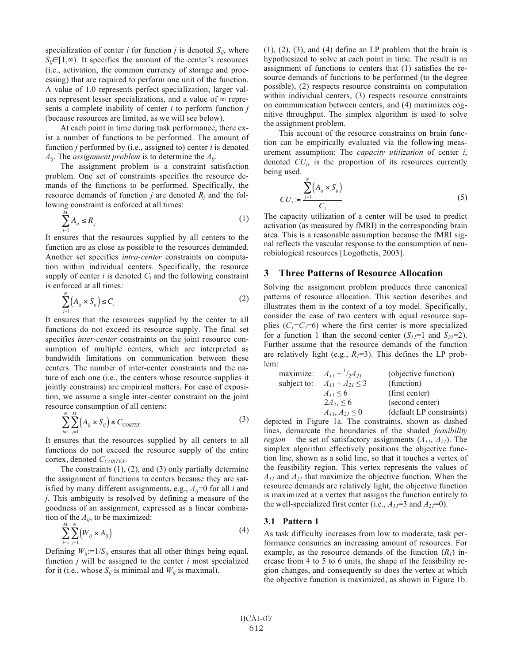specialization of center *i* for function *j* is denoted  $S_{ij}$ , where  $S_{ij} \in [1, \infty)$ . It specifies the amount of the center's resources (i.e., activation, the common currency of storage and processing) that are required to perform one unit of the function. A value of 1.0 represents perfect specialization, larger values represent lesser specializations, and a value of  $\infty$  represents a complete inability of center *i* to perform function *j* (because resources are limited, as we will see below).

At each point in time during task performance, there exist a number of functions to be performed. The amount of function *j* performed by (i.e., assigned to) center *i* is denoted *Aij*. The *assignment problem* is to determine the *Aij*.

The assignment problem is a constraint satisfaction problem. One set of constraints specifies the resource demands of the functions to be performed. Specifically, the resource demands of function  $j$  are denoted  $R_j$  and the following constraint is enforced at all times:

$$
\sum_{i=1}^{M} A_{ij} \le R_j \tag{1}
$$

It ensures that the resources supplied by all centers to the function are as close as possible to the resources demanded. Another set specifies *intra-center* constraints on computation within individual centers. Specifically, the resource supply of center  $i$  is denoted  $C_i$  and the following constraint is enforced at all times:

$$
\sum_{j=1}^{N} \left( A_{ij} \times S_{ij} \right) \le C_i \tag{2}
$$

It ensures that the resources supplied by the center to all functions do not exceed its resource supply. The final set specifies *inter-center* constraints on the joint resource consumption of multiple centers, which are interpreted as bandwidth limitations on communication between these centers. The number of inter-center constraints and the nature of each one (i.e., the centers whose resource supplies it jointly constrains) are empirical matters. For ease of exposition, we assume a single inter-center constraint on the joint resource consumption of all centers:

$$
\sum_{i=1}^{N} \sum_{j=1}^{M} \left( A_{ij} \times S_{ij} \right) \leq C_{\text{CORTEX}} \tag{3}
$$

It ensures that the resources supplied by all centers to all functions do not exceed the resource supply of the entire cortex, denoted *CCORTEX*.

The constraints  $(1)$ ,  $(2)$ , and  $(3)$  only partially determine the assignment of functions to centers because they are satisfied by many different assignments, e.g.,  $A_{ij}$ =0 for all *i* and *j*. This ambiguity is resolved by defining a measure of the goodness of an assignment, expressed as a linear combination of the  $A_{ij}$ , to be maximized:

$$
\sum_{i=1}^{M} \sum_{j=1}^{N} (W_{ij} \times A_{ij})
$$
\n(4)

Defining  $W_{ij}$ :=1/ $S_{ij}$  ensures that all other things being equal, function *j* will be assigned to the center *i* most specialized for it (i.e., whose  $S_{ij}$  is minimal and  $W_{ij}$  is maximal).

 $(1)$ ,  $(2)$ ,  $(3)$ , and  $(4)$  define an LP problem that the brain is hypothesized to solve at each point in time. The result is an assignment of functions to centers that (1) satisfies the resource demands of functions to be performed (to the degree possible), (2) respects resource constraints on computation within individual centers, (3) respects resource constraints on communication between centers, and (4) maximizes cognitive throughput. The simplex algorithm is used to solve the assignment problem.

This account of the resource constraints on brain function can be empirically evaluated via the following measurement assumption: The *capacity utilization* of center *i*, denoted  $CU_i$ , is the proportion of its resources currently being used.

$$
CU_i := \frac{\sum_{j=1}^{N} (A_{ij} \times S_{ij})}{C_i}
$$
 (5)

The capacity utilization of a center will be used to predict activation (as measured by fMRI) in the corresponding brain area. This is a reasonable assumption because the fMRI signal reflects the vascular response to the consumption of neurobiological resources [Logothetis, 2003].

# **3 Three Patterns of Resource Allocation**

Solving the assignment problem produces three canonical patterns of resource allocation. This section describes and illustrates them in the context of a toy model. Specifically, consider the case of two centers with equal resource supplies  $(C_1 = C_2 = 6)$  where the first center is more specialized for a function 1 than the second center  $(S_{11}=1)$  and  $S_{21}=2$ ). Further assume that the resource demands of the function are relatively light (e.g.,  $R_1 = 3$ ). This defines the LP problem:

|             | maximize: $A_{11} + \frac{1}{2}A_{21}$ | (objective function)     |
|-------------|----------------------------------------|--------------------------|
| subject to: | $A_{11} + A_{21} \leq 3$               | (function)               |
|             | $A_{11} \leq 6$                        | (first center)           |
|             | $2A_{21} \le 6$                        | (second center)          |
|             | $A_{11}, A_{21} \le 0$                 | (default LP constraints) |

depicted in Figure 1a. The constraints, shown as dashed lines, demarcate the boundaries of the shaded *feasibility region* – the set of satisfactory assignments  $(A_{11}, A_{21})$ . The simplex algorithm effectively positions the objective function line, shown as a solid line, so that it touches a vertex of the feasibility region. This vertex represents the values of  $A_{11}$  and  $A_{21}$  that maximize the objective function. When the resource demands are relatively light, the objective function is maximized at a vertex that assigns the function entirely to the well-specialized first center (i.e.,  $A_{11}=3$  and  $A_{21}=0$ ).

#### **3.1 Pattern 1**

As task difficulty increases from low to moderate, task performance consumes an increasing amount of resources. For example, as the resource demands of the function  $(R<sub>1</sub>)$  increase from 4 to 5 to 6 units, the shape of the feasibility region changes, and consequently so does the vertex at which the objective function is maximized, as shown in Figure 1b.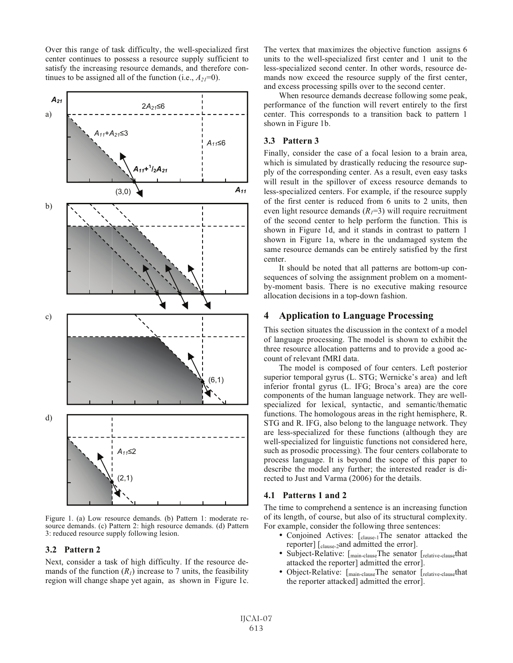Over this range of task difficulty, the well-specialized first center continues to possess a resource supply sufficient to satisfy the increasing resource demands, and therefore continues to be assigned all of the function (i.e.,  $A_{21}=0$ ).



Figure 1. (a) Low resource demands. (b) Pattern 1: moderate resource demands. (c) Pattern 2: high resource demands. (d) Pattern 3: reduced resource supply following lesion.

#### **3.2 Pattern 2**

Next, consider a task of high difficulty. If the resource demands of the function  $(R<sub>1</sub>)$  increase to 7 units, the feasibility region will change shape yet again, as shown in Figure 1c. The vertex that maximizes the objective function assigns 6 units to the well-specialized first center and 1 unit to the less-specialized second center. In other words, resource demands now exceed the resource supply of the first center, and excess processing spills over to the second center.

When resource demands decrease following some peak, performance of the function will revert entirely to the first center. This corresponds to a transition back to pattern 1 shown in Figure 1b.

#### **3.3 Pattern 3**

Finally, consider the case of a focal lesion to a brain area, which is simulated by drastically reducing the resource supply of the corresponding center. As a result, even easy tasks will result in the spillover of excess resource demands to less-specialized centers. For example, if the resource supply of the first center is reduced from 6 units to 2 units, then even light resource demands  $(R_1=3)$  will require recruitment of the second center to help perform the function. This is shown in Figure 1d, and it stands in contrast to pattern 1 shown in Figure 1a, where in the undamaged system the same resource demands can be entirely satisfied by the first center.

It should be noted that all patterns are bottom-up consequences of solving the assignment problem on a momentby-moment basis. There is no executive making resource allocation decisions in a top-down fashion.

# **4 Application to Language Processing**

This section situates the discussion in the context of a model of language processing. The model is shown to exhibit the three resource allocation patterns and to provide a good account of relevant fMRI data.

The model is composed of four centers. Left posterior superior temporal gyrus (L. STG; Wernicke's area) and left inferior frontal gyrus (L. IFG; Broca's area) are the core components of the human language network. They are wellspecialized for lexical, syntactic, and semantic/thematic functions. The homologous areas in the right hemisphere, R. STG and R. IFG, also belong to the language network. They are less-specialized for these functions (although they are well-specialized for linguistic functions not considered here, such as prosodic processing). The four centers collaborate to process language. It is beyond the scope of this paper to describe the model any further; the interested reader is directed to Just and Varma (2006) for the details.

## **4.1 Patterns 1 and 2**

The time to comprehend a sentence is an increasing function of its length, of course, but also of its structural complexity. For example, consider the following three sentences:

- Conjoined Actives: [clause-1The senator attacked the reporter] [clause-2and admitted the error].
- Subject-Relative: [main-clauseThe senator [relative-clausethat] attacked the reporter] admitted the error].
- Object-Relative: [main-clauseThe senator [relative-clausethat the reporter attacked] admitted the error].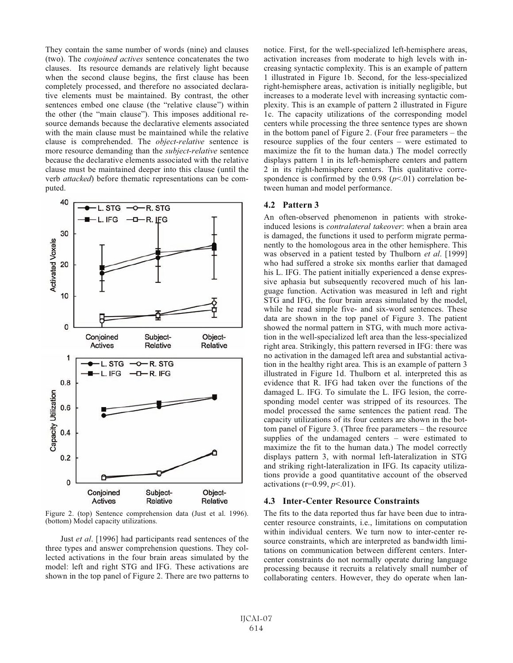They contain the same number of words (nine) and clauses (two). The *conjoined actives* sentence concatenates the two clauses. Its resource demands are relatively light because when the second clause begins, the first clause has been completely processed, and therefore no associated declarative elements must be maintained. By contrast, the other sentences embed one clause (the "relative clause") within the other (the "main clause"). This imposes additional resource demands because the declarative elements associated with the main clause must be maintained while the relative clause is comprehended. The *object-relative* sentence is more resource demanding than the *subject-relative* sentence because the declarative elements associated with the relative clause must be maintained deeper into this clause (until the verb *attacked*) before thematic representations can be computed.



Figure 2. (top) Sentence comprehension data (Just et al. 1996). (bottom) Model capacity utilizations.

Just *et al*. [1996] had participants read sentences of the three types and answer comprehension questions. They collected activations in the four brain areas simulated by the model: left and right STG and IFG. These activations are shown in the top panel of Figure 2. There are two patterns to notice. First, for the well-specialized left-hemisphere areas, activation increases from moderate to high levels with increasing syntactic complexity. This is an example of pattern 1 illustrated in Figure 1b. Second, for the less-specialized right-hemisphere areas, activation is initially negligible, but increases to a moderate level with increasing syntactic complexity. This is an example of pattern 2 illustrated in Figure 1c. The capacity utilizations of the corresponding model centers while processing the three sentence types are shown in the bottom panel of Figure 2. (Four free parameters – the resource supplies of the four centers – were estimated to maximize the fit to the human data.) The model correctly displays pattern 1 in its left-hemisphere centers and pattern 2 in its right-hemisphere centers. This qualitative correspondence is confirmed by the  $0.98$  ( $p<.01$ ) correlation between human and model performance.

#### **4.2 Pattern 3**

An often-observed phenomenon in patients with strokeinduced lesions is *contralateral takeover*: when a brain area is damaged, the functions it used to perform migrate permanently to the homologous area in the other hemisphere. This was observed in a patient tested by Thulborn *et al*. [1999] who had suffered a stroke six months earlier that damaged his L. IFG. The patient initially experienced a dense expressive aphasia but subsequently recovered much of his language function. Activation was measured in left and right STG and IFG, the four brain areas simulated by the model, while he read simple five- and six-word sentences. These data are shown in the top panel of Figure 3. The patient showed the normal pattern in STG, with much more activation in the well-specialized left area than the less-specialized right area. Strikingly, this pattern reversed in IFG: there was no activation in the damaged left area and substantial activation in the healthy right area. This is an example of pattern 3 illustrated in Figure 1d. Thulborn et al. interpreted this as evidence that R. IFG had taken over the functions of the damaged L. IFG. To simulate the L. IFG lesion, the corresponding model center was stripped of its resources. The model processed the same sentences the patient read. The capacity utilizations of its four centers are shown in the bottom panel of Figure 3. (Three free parameters – the resource supplies of the undamaged centers – were estimated to maximize the fit to the human data.) The model correctly displays pattern 3, with normal left-lateralization in STG and striking right-lateralization in IFG. Its capacity utilizations provide a good quantitative account of the observed activations (r=0.99, *p*<.01).

#### **4.3 Inter-Center Resource Constraints**

The fits to the data reported thus far have been due to intracenter resource constraints, i.e., limitations on computation within individual centers. We turn now to inter-center resource constraints, which are interpreted as bandwidth limitations on communication between different centers. Intercenter constraints do not normally operate during language processing because it recruits a relatively small number of collaborating centers. However, they do operate when lan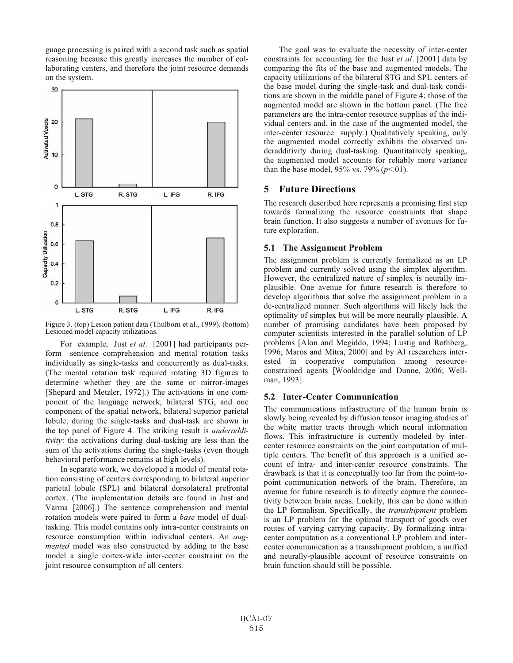guage processing is paired with a second task such as spatial reasoning because this greatly increases the number of collaborating centers, and therefore the joint resource demands on the system.



Figure 3. (top) Lesion patient data (Thulborn et al., 1999). (bottom) Lesioned model capacity utilizations.

For example, Just *et al*. [2001] had participants perform sentence comprehension and mental rotation tasks individually as single-tasks and concurrently as dual-tasks. (The mental rotation task required rotating 3D figures to determine whether they are the same or mirror-images [Shepard and Metzler, 1972].) The activations in one component of the language network, bilateral STG, and one component of the spatial network, bilateral superior parietal lobule, during the single-tasks and dual-task are shown in the top panel of Figure 4. The striking result is *underadditivity*: the activations during dual-tasking are less than the sum of the activations during the single-tasks (even though behavioral performance remains at high levels).

In separate work, we developed a model of mental rotation consisting of centers corresponding to bilateral superior parietal lobule (SPL) and bilateral dorsolateral prefrontal cortex. (The implementation details are found in Just and Varma [2006].) The sentence comprehension and mental rotation models were paired to form a *base* model of dualtasking. This model contains only intra-center constraints on resource consumption within individual centers. An *augmented* model was also constructed by adding to the base model a single cortex-wide inter-center constraint on the joint resource consumption of all centers.

The goal was to evaluate the necessity of inter-center constraints for accounting for the Just *et al*. [2001] data by comparing the fits of the base and augmented models. The capacity utilizations of the bilateral STG and SPL centers of the base model during the single-task and dual-task conditions are shown in the middle panel of Figure 4; those of the augmented model are shown in the bottom panel. (The free parameters are the intra-center resource supplies of the individual centers and, in the case of the augmented model, the inter-center resource supply.) Qualitatively speaking, only the augmented model correctly exhibits the observed underadditivity during dual-tasking. Quantitatively speaking, the augmented model accounts for reliably more variance than the base model,  $95\%$  vs.  $79\%$  ( $p<.01$ ).

# **5 Future Directions**

The research described here represents a promising first step towards formalizing the resource constraints that shape brain function. It also suggests a number of avenues for future exploration.

## **5.1 The Assignment Problem**

The assignment problem is currently formalized as an LP problem and currently solved using the simplex algorithm. However, the centralized nature of simplex is neurally implausible. One avenue for future research is therefore to develop algorithms that solve the assignment problem in a de-centralized manner. Such algorithms will likely lack the optimality of simplex but will be more neurally plausible. A number of promising candidates have been proposed by computer scientists interested in the parallel solution of LP problems [Alon and Megiddo, 1994; Lustig and Rothberg, 1996; Maros and Mitra, 2000] and by AI researchers interested in cooperative computation among resourceconstrained agents [Wooldridge and Dunne, 2006; Wellman, 1993].

# **5.2 Inter-Center Communication**

The communications infrastructure of the human brain is slowly being revealed by diffusion tensor imaging studies of the white matter tracts through which neural information flows. This infrastructure is currently modeled by intercenter resource constraints on the joint computation of multiple centers. The benefit of this approach is a unified account of intra- and inter-center resource constraints. The drawback is that it is conceptually too far from the point-topoint communication network of the brain. Therefore, an avenue for future research is to directly capture the connectivity between brain areas. Luckily, this can be done within the LP formalism. Specifically, the *transshipment* problem is an LP problem for the optimal transport of goods over routes of varying carrying capacity. By formalizing intracenter computation as a conventional LP problem and intercenter communication as a transshipment problem, a unified and neurally-plausible account of resource constraints on brain function should still be possible.